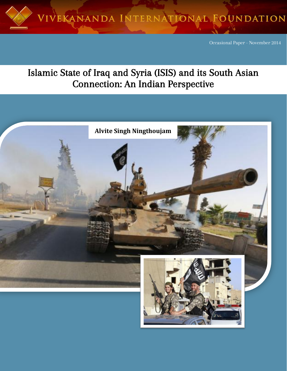

Occasional Paper - November 2014

# Islamic State of Iraq and Syria (ISIS) and its South Asian Connection: An Indian Perspective

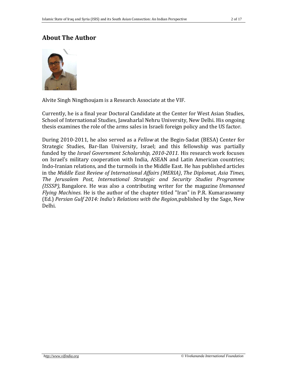# **About The Author**



Alvite Singh Ningthoujam is a Research Associate at the VIF.

Currently, he is a final year Doctoral Candidate at the Center for West Asian Studies, School of International Studies, Jawaharlal Nehru University, New Delhi. His ongoing thesis examines the role of the arms sales in Israeli foreign policy and the US factor.

During 2010-2011, he also served as a *Fellow* at the Begin-Sadat (BESA) Center for Strategic Studies, Bar-Ilan University, Israel; and this fellowship was partially funded by the *Israel Government Scholarship, 2010-2011*. His research work focuses on Israel's military cooperation with India, ASEAN and Latin American countries; Indo-Iranian relations, and the turmoils in the Middle East. He has published articles in the *Middle East Review of International Affairs (MERIA)*, *The Diplomat, Asia Times, The Jerusalem Post, International Strategic and Security Studies Programme (ISSSP),* Bangalore. He was also a contributing writer for the magazine *Unmanned Flying Machines*. He is the author of the chapter titled "Iran" in P.R. Kumaraswamy (Ed.) *Persian Gulf 2014: India's Relations with the Region,*published by the Sage, New Delhi.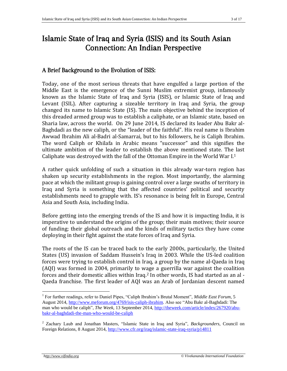# Islamic State of Iraq and Syria (ISIS) and its South Asian Connection: An Indian Perspective

# A Brief Background to the Evolution of ISIS:

Today, one of the most serious threats that have engulfed a large portion of the Middle East is the emergence of the Sunni Muslim extremist group, infamously known as the Islamic State of Iraq and Syria (ISIS), or Islamic State of Iraq and Levant (ISIL). After capturing a sizeable territory in Iraq and Syria, the group changed its name to Islamic State (IS). The main objective behind the inception of this dreaded armed group was to establish a caliphate, or an Islamic state, based on Sharia law, across the world. On 29 June 2014, IS declared its leader Abu Bakr al-Baghdadi as the new caliph, or the "leader of the faithful". His real name is Ibrahim Awwad Ibrahim Ali al-Badri al-Samarrai, but to his followers, he is Caliph Ibrahim. The word Caliph or Khilafa in Arabic means "successor" and this signifies the ultimate ambition of the leader to establish the above mentioned state. The last Caliphate was destroyed with the fall of the Ottoman Empire in the World War I.<sup>1</sup>

A rather quick unfolding of such a situation in this already war-torn region has shaken up security establishments in the region. Most importantly, the alarming pace at which the militant group is gaining control over a large swaths of territory in Iraq and Syria is something that the affected countries' political and security establishments need to grapple with. IS's resonance is being felt in Europe, Central Asia and South Asia, including India.

Before getting into the emerging trends of the IS and how it is impacting India, it is imperative to understand the origins of the group; their main motives; their source of funding; their global outreach and the kinds of military tactics they have come deploying in their fight against the state forces of Iraq and Syria.

The roots of the IS can be traced back to the early 2000s, particularly, the United States (US) invasion of Saddam Hussein's Iraq in 2003. While the US-led coalition forces were trying to establish control in Iraq, a group by the name al-Qaeda in Iraq (AQI) was formed in 2004, primarily to wage a guerrilla war against the coalition forces and their domestic allies within Iraq.<sup>2</sup> In other words, IS had started as an al - Qaeda franchise. The first leader of AQI was an Arab of Jordanian descent named

<sup>&</sup>lt;sup>1</sup> For further readings, refer to Daniel Pipes, "Caliph Ibrahim's Brutal Moment", *Middle East Forum*, 5 August 2014, [http://www.meforum.org/4769/isis-caliph-ibrahim.](http://www.meforum.org/4769/isis-caliph-ibrahim) Also see "Abu Bakr al-Baghdadi: The man who would be caliph", *The Week,* 13 September 2014[, http://theweek.com/article/index/267920/abu](http://theweek.com/article/index/267920/abu-bakr-al-baghdadi-the-man-who-would-be-caliph)[bakr-al-baghdadi-the-man-who-would-be-caliph](http://theweek.com/article/index/267920/abu-bakr-al-baghdadi-the-man-who-would-be-caliph)

<sup>2</sup> Zachary Laub and Jonathan Masters, "Islamic State in Iraq and Syria", *Backgrounders,* Council on Foreign Relations, 8 August 2014,<http://www.cfr.org/iraq/islamic-state-iraq-syria/p14811>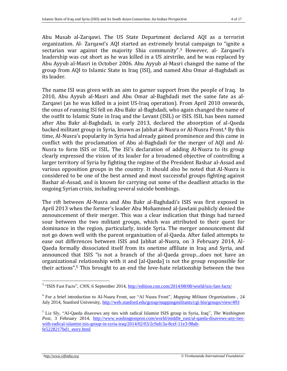Abu Musab al-Zarqawi. The US State Department declared AQI as a terrorist organization. Al- Zarqawi's AQI started an extremely brutal campaign to "ignite a sectarian war against the majority Shia community".<sup>3</sup> However, al- Zarqawi's leadership was cut short as he was killed in a US airstrike, and he was replaced by Abu Ayyub al-Masri in October 2006. Abu Ayyub al-Masri changed the name of the group from AQI to Islamic State in Iraq (ISI), and named Abu Omar al-Baghdadi as its leader.

The name ISI was given with an aim to garner support from the people of Iraq. In 2010, Abu Ayyub al-Masri and Abu Omar al-Baghdadi met the same fate as al-Zarqawi (as he was killed in a joint US-Iraq operation). From April 2010 onwards, the onus of running ISI fell on Abu Bakr al-Baghdadi, who again changed the name of the outfit to Islamic State in Iraq and the Levant (ISIL) or ISIS. ISIL has been named after Abu Bakr al-Baghdadi, in early 2013, declared the absorption of al-Qaeda backed militant group in Syria, known as Jabhat al-Nusra or Al-Nusra Front.<sup>4</sup> By this time, Al-Nusra's popularity in Syria had already gained prominence and this came in conflict with the proclamation of Abu al-Baghdadi for the merger of AQI and Al-Nusra to form ISIS or ISIL. The ISI's declaration of adding Al-Nusra to its group clearly expressed the vision of its leader for a broadened objective of controlling a larger territory of Syria by fighting the regime of the President Bashar al-Assad and various opposition groups in the country. It should also be noted that Al-Nusra is considered to be one of the best armed and most successful groups fighting against Bashar al-Assad, and is known for carrying out some of the deadliest attacks in the ongoing Syrian crisis, including several suicide bombings.

The rift between Al-Nusra and Abu Bakr al-Baghdadi's ISIS was first exposed in April 2013 when the former's leader Abu Mohammed al-Jawlani publicly denied the announcement of their merger. This was a clear indication that things had turned sour between the two militant groups, which was attributed to their quest for dominance in the region, particularly, inside Syria. The merger announcement did not go down well with the parent organization of al-Qaeda. After failed attempts to ease out differences between ISIS and Jabhat al-Nusra, on 3 February 2014, Al-Qaeda formally dissociated itself from its onetime affiliate in Iraq and Syria, and announced that ISIS "is not a branch of the al-Qaeda group…does not have an organizational relationship with it and [al-Qaeda] is not the group responsible for their actions".<sup>5</sup> This brought to an end the love-hate relationship between the two

 $\overline{a}$ <sup>3</sup> "ISIS Fast Facts", *CNN*, 6 September 2014,<http://edition.cnn.com/2014/08/08/world/isis-fast-facts/>

<sup>4</sup> For a brief introduction to Al-Nusra Front, see "Al Nusra Front", *Mapping Militant Organizations ,* 24 July 2014, Stanford University,<http://web.stanford.edu/group/mappingmilitants/cgi-bin/groups/view/493>

<sup>5</sup> Liz Sly, "Al-Qaeda disavows any ties with radical Islamist ISIS group in Syria, Iraq", *The Washington*  Post, 3 February 2014, http://www.washingtonpost.com/world/middle east/al-qaeda-disavows-any-ties[with-radical-islamist-isis-group-in-syria-iraq/2014/02/03/2c9afc3a-8cef-11e3-98ab](http://www.washingtonpost.com/world/middle_east/al-qaeda-disavows-any-ties-with-radical-islamist-isis-group-in-syria-iraq/2014/02/03/2c9afc3a-8cef-11e3-98ab-fe5228217bd1_story.html)[fe5228217bd1\\_story.html](http://www.washingtonpost.com/world/middle_east/al-qaeda-disavows-any-ties-with-radical-islamist-isis-group-in-syria-iraq/2014/02/03/2c9afc3a-8cef-11e3-98ab-fe5228217bd1_story.html)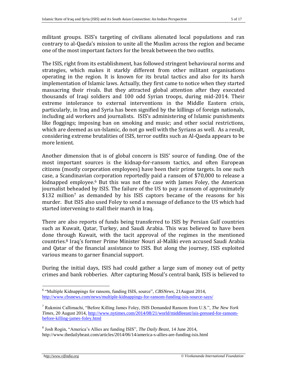militant groups. ISIS's targeting of civilians alienated local populations and ran contrary to al-Qaeda's mission to unite all the Muslim across the region and became one of the most important factors for the break between the two outfits.

The ISIS, right from its establishment, has followed stringent behavioural norms and strategies, which makes it starkly different from other militant organisations operating in the region. It is known for its brutal tactics and also for its harsh implementation of Islamic laws. Actually, they first came to notice when they started massacring their rivals. But they attracted global attention after they executed thousands of Iraqi soldiers and 100 odd Syrian troops, during mid-2014. Their extreme intolerance to external interventions in the Middle Eastern crisis, particularly, in Iraq and Syria has been signified by the killings of foreign nationals, including aid workers and journalists. ISIS's administering of Islamic punishments like floggings; imposing ban on smoking and music; and other social restrictions, which are deemed as un-Islamic, do not go well with the Syrians as well. As a result, considering extreme brutalities of ISIS, terror outfits such as Al-Qaeda appears to be more lenient.

Another dimension that is of global concern is ISIS' source of funding. One of the most important sources is the kidnap-for-ransom tactics, and often European citizens (mostly corporation employees) have been their prime targets. In one such case, a Scandinavian corporation reportedly paid a ransom of \$70,000 to release a kidnapped employee.<sup>6</sup> But this was not the case with James Foley, the American journalist beheaded by ISIS. The failure of the US to pay a ransom of approximately \$132 million<sup>7</sup> as demanded by his ISIS captors became of the reasons for his murder. But ISIS also used Foley to send a message of defiance to the US which had started intervening to stall their march in Iraq.

There are also reports of funds being transferred to ISIS by Persian Gulf countries such as Kuwait, Qatar, Turkey, and Saudi Arabia. This was believed to have been done through Kuwait, with the tacit approval of the regimes in the mentioned countries.<sup>8</sup> Iraq's former Prime Minister Nouri al-Maliki even accused Saudi Arabia and Qatar of the financial assistance to ISIS. But along the journey, ISIS exploited various means to garner financial support.

During the initial days, ISIS had could gather a large sum of money out of petty crimes and bank robberies. After capturing Mosul's central bank, ISIS is believed to

<sup>6</sup> "Multiple Kidnappings for ransom, funding ISIS, source", *CBSNews,* 21August 2014, <http://www.cbsnews.com/news/multiple-kidnappings-for-ransom-funding-isis-source-says/>

<sup>7</sup> Rukmini Callimachi, "Before Killing James Foley, ISIS Demanded Ransom from U.S.", *The New York Times,* 20 August 2014, [http://www.nytimes.com/2014/08/21/world/middleeast/isis-pressed-for-ransom](http://www.nytimes.com/2014/08/21/world/middleeast/isis-pressed-for-ransom-before-killing-james-foley.html)[before-killing-james-foley.html](http://www.nytimes.com/2014/08/21/world/middleeast/isis-pressed-for-ransom-before-killing-james-foley.html)

<sup>8</sup> Josh Rogin, "America's Allies are funding ISIS", *The Daily Beast,* 14 June 2014, http://www.thedailybeast.com/articles/2014/06/14/america-s-allies-are-funding-isis.html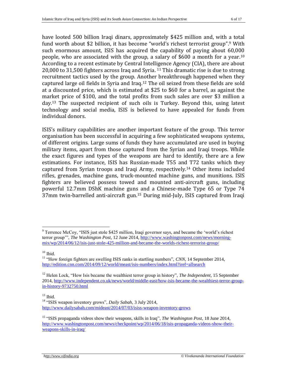have looted 500 billion Iraqi dinars, approximately \$425 million and, with a total fund worth about \$2 billion, it has become "world's richest terrorist group". <sup>9</sup> With such enormous amount, ISIS has acquired the capability of paying about 60,000 people, who are associated with the group, a salary of \$600 a month for a year. 10 According to a recent estimate by Central Intelligence Agency (CIA), there are about 20,000 to 31,500 fighters across Iraq and Syria. <sup>11</sup> This dramatic rise is due to strong recruitment tactics used by the group. Another breakthrough happened when they captured large oil fields in Syria and Iraq.<sup>12</sup> The oil seized from these fields are sold at a discounted price, which is estimated at \$25 to \$60 for a barrel, as against the market price of \$100, and the total profits from such sales are over \$3 million a day. <sup>13</sup> The suspected recipient of such oils is Turkey. Beyond this, using latest technology and social media, ISIS is believed to have appealed for funds from individual donors.

ISIS's military capabilities are another important feature of the group. This terror organisation has been successful in acquiring a few sophisticated weapons systems, of different origins. Large sums of funds they have accumulated are used in buying military items, apart from those captured from the Syrian and Iraqi troops. While the exact figures and types of the weapons are hard to identify, there are a few estimations. For instance, ISIS has Russian-made T55 and T72 tanks which they captured from Syrian troops and Iraqi Army, respectively.<sup>14</sup> Other items included rifles, grenades, machine guns, truck-mounted machine guns, and munitions. ISIS fighters are believed possess towed and mounted anti-aircraft guns, including powerful 12.7mm DShK machine guns and a Chinese-made Type 65 or Type 74 37mm twin-barrelled anti-aircraft gun. <sup>15</sup> During mid-July, ISIS captured from Iraqi

 $10$  Ibid.

 $13$  Ibid.

 $\overline{a}$  $9^9$  Terrence McCoy, "ISIS just stole \$425 million, Iraqi governor says, and became the 'world's richest terror group'", *The Washington Post,* 12 June 2014[, http://www.washingtonpost.com/news/morning](http://www.washingtonpost.com/news/morning-mix/wp/2014/06/12/isis-just-stole-425-million-and-became-the-worlds-richest-terrorist-group/)[mix/wp/2014/06/12/isis-just-stole-425-million-and-became-the-worlds-richest-terrorist-group/](http://www.washingtonpost.com/news/morning-mix/wp/2014/06/12/isis-just-stole-425-million-and-became-the-worlds-richest-terrorist-group/)

<sup>&</sup>lt;sup>11</sup> "How foreign fighters are swelling ISIS ranks in startling numbers", *CNN*, 14 September 2014, <http://edition.cnn.com/2014/09/12/world/meast/isis-numbers/index.html?iref=allsearch>

<sup>12</sup> Helen Lock, "How Isis became the wealthiest terror group in history", *The Independent,* 15 September 2014, [http://www.independent.co.uk/news/world/middle-east/how-isis-became-the-wealthiest-terror-group](http://www.independent.co.uk/news/world/middle-east/how-isis-became-the-wealthiest-terror-group-in-history-9732750.html)[in-history-9732750.html](http://www.independent.co.uk/news/world/middle-east/how-isis-became-the-wealthiest-terror-group-in-history-9732750.html)

<sup>14</sup> "ISIS weapon inventory grows", *Daily Sabah,* 3 July 2014, <http://www.dailysabah.com/mideast/2014/07/03/isiss-weapon-inventory-grows>

<sup>15</sup> "ISIS propaganda videos show their weapons, skills in Iraq", *The Washington Post,* 18 June 2014, [http://www.washingtonpost.com/news/checkpoint/wp/2014/06/18/isis-propaganda-videos-show-their](http://www.washingtonpost.com/news/checkpoint/wp/2014/06/18/isis-propaganda-videos-show-their-weapons-skills-in-iraq/)[weapons-skills-in-iraq/](http://www.washingtonpost.com/news/checkpoint/wp/2014/06/18/isis-propaganda-videos-show-their-weapons-skills-in-iraq/)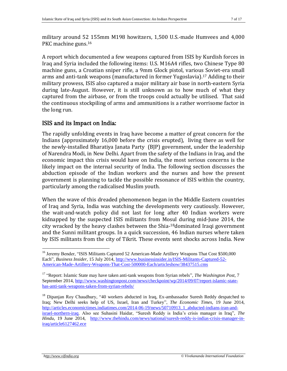military around 52 155mm M198 howitzers, 1,500 U.S.-made Humvees and 4,000 PKC machine guns.<sup>16</sup>

A report which documented a few weapons captured from ISIS by Kurdish forces in Iraq and Syria included the following items: U.S. M16A4 rifles, two Chinese Type 80 machine guns, a Croatian sniper rifle, a 9mm Glock pistol, various Soviet-era small arms and anti-tank weapons (manufactured in former Yugoslavia).<sup>17</sup> Adding to their military prowess, ISIS also captured a major military air base in north-eastern Syria during late-August. However, it is still unknown as to how much of what they captured from the airbase, or from the troops could actually be utilised. That said the continuous stockpiling of arms and ammunitions is a rather worrisome factor in the long run.

## ISIS and its Impact on India:

The rapidly unfolding events in Iraq have become a matter of great concern for the Indians (approximately 16,000 before the crisis erupted), living there as well for the newly-installed Bharatiya Janata Party (BJP) government, under the leadership of Narendra Modi, in New Delhi. Apart from the safety of the Indians in Iraq, and the economic impact this crisis would have on India, the most serious concerns is the likely impact on the internal security of India. The following section discusses the abduction episode of the Indian workers and the nurses and how the present government is planning to tackle the possible resonance of ISIS within the country, particularly among the radicalised Muslim youth.

When the wave of this dreaded phenomenon began in the Middle Eastern countries of Iraq and Syria, India was watching the developments very cautiously. However, the wait-and-watch policy did not last for long after 40 Indian workers were kidnapped by the suspected ISIS militants from Mosul during mid-June 2014, the city wracked by the heavy clashes between the Shia-<sup>18</sup>dominated Iraqi government and the Sunni militant groups. In a quick succession, 46 Indian nurses where taken by ISIS militants from the city of Tikrit. These events sent shocks across India. New

<sup>&</sup>lt;sup>16</sup> Jeremy Bender, "ISIS Militants Captured 52 American-Made Artillery Weapons That Cost \$500,000 Each", *Business Insider,* 15 July 2014, [http://www.businessinsider.in/ISIS-Militants-Captured-52-](http://www.businessinsider.in/ISIS-Militants-Captured-52-American-Made-Artillery-Weapons-That-Cost-500000-Each/articleshow/38437515.cms) [American-Made-Artillery-Weapons-That-Cost-500000-Each/articleshow/38437515.cms](http://www.businessinsider.in/ISIS-Militants-Captured-52-American-Made-Artillery-Weapons-That-Cost-500000-Each/articleshow/38437515.cms)

<sup>17</sup> "Report: Islamic State may have taken anti-tank weapons from Syrian rebels", *The Washington Post,* 7 September 2014, [http://www.washingtonpost.com/news/checkpoint/wp/2014/09/07/report-islamic-state](http://www.washingtonpost.com/news/checkpoint/wp/2014/09/07/report-islamic-state-has-anti-tank-weapons-taken-from-syrian-rebels/)[has-anti-tank-weapons-taken-from-syrian-rebels/](http://www.washingtonpost.com/news/checkpoint/wp/2014/09/07/report-islamic-state-has-anti-tank-weapons-taken-from-syrian-rebels/)

<sup>&</sup>lt;sup>18</sup> Dipanjan Roy Chaudhury, "40 workers abducted in Iraq, Ex-ambassador Suresh Reddy despatched to Iraq; New Delhi seeks help of US, Israel, Iran and Turkey", *The Economic Times,* 19 June 2014, [http://articles.economictimes.indiatimes.com/2014-06-19/news/50710913\\_1\\_abducted-indians-iran-and](http://articles.economictimes.indiatimes.com/2014-06-19/news/50710913_1_abducted-indians-iran-and-israel-northern-iraq)[israel-northern-iraq.](http://articles.economictimes.indiatimes.com/2014-06-19/news/50710913_1_abducted-indians-iran-and-israel-northern-iraq) Also see Suhasini Haidar, "Suresh Reddy is India's crisis manager in Iraq", *The Hindu,* 19 June 2014, [http://www.thehindu.com/news/national/suresh-reddy-is-indias-crisis-manager-in](http://www.thehindu.com/news/national/suresh-reddy-is-indias-crisis-manager-in-iraq/article6127462.ece)[iraq/article6127462.ece](http://www.thehindu.com/news/national/suresh-reddy-is-indias-crisis-manager-in-iraq/article6127462.ece)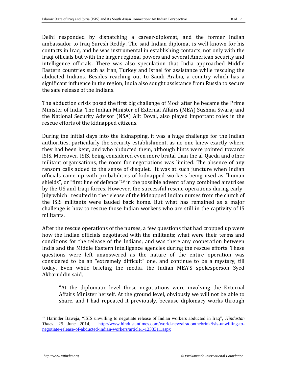Delhi responded by dispatching a career-diplomat, and the former Indian ambassador to Iraq Suresh Reddy. The said Indian diplomat is well-known for his contacts in Iraq, and he was instrumental in establishing contacts, not only with the Iraqi officials but with the larger regional powers and several American security and intelligence officials. There was also speculation that India approached Middle Eastern countries such as Iran, Turkey and Israel for assistance while rescuing the abducted Indians. Besides reaching out to Saudi Arabia, a country which has a significant influence in the region, India also sought assistance from Russia to secure the safe release of the Indians.

The abduction crisis posed the first big challenge of Modi after he became the Prime Minister of India. The Indian Minister of External Affairs (MEA) Sushma Swaraj and the National Security Advisor (NSA) Ajit Doval, also played important roles in the rescue efforts of the kidnapped citizens.

During the initial days into the kidnapping, it was a huge challenge for the Indian authorities, particularly the security establishment, as no one knew exactly where they had been kept, and who abducted them, although hints were pointed towards ISIS. Moreover, ISIS, being considered even more brutal than the al-Qaeda and other militant organisations, the room for negotiations was limited. The absence of any ransom calls added to the sense of disquiet. It was at such juncture when Indian officials came up with probabilities of kidnapped workers being used as "human shields", or "first line of defence"<sup>19</sup> in the possible advent of any combined airstrikes by the US and Iraqi forces. However, the successful rescue operations during early-July which resulted in the release of the kidnapped Indian nurses from the clutch of the ISIS militants were lauded back home. But what has remained as a major challenge is how to rescue those Indian workers who are still in the captivity of IS militants.

After the rescue operations of the nurses, a few questions that had cropped up were how the Indian officials negotiated with the militants; what were their terms and conditions for the release of the Indians; and was there any cooperation between India and the Middle Eastern intelligence agencies during the rescue efforts. These questions were left unanswered as the nature of the entire operation was considered to be an "extremely difficult" one, and continue to be a mystery, till today. Even while briefing the media, the Indian MEA'S spokesperson Syed Akbaruddin said,

"At the diplomatic level these negotiations were involving the External Affairs Minister herself. At the ground level, obviously we will not be able to share, and I had repeated it previously, because diplomacy works through

<sup>&</sup>lt;sup>19</sup> Harinder Baweja, "ISIS unwilling to negotiate release of Indian workers abducted in Iraq", *Hindustan Times*, 25 June 2014, http://www.hindustantimes.com/world-news/iraqonthebrink/isis-unwilling-to-*<u>Times, and the 2014 metal community and the metal community and the metal community and the metal community and the metal community and the metal community and the metal community and the metal community and the metal co*</u> [negotiate-release-of-abducted-indian-workers/article1-1233311.aspx](http://www.hindustantimes.com/world-news/iraqonthebrink/isis-unwilling-to-negotiate-release-of-abducted-indian-workers/article1-1233311.aspx)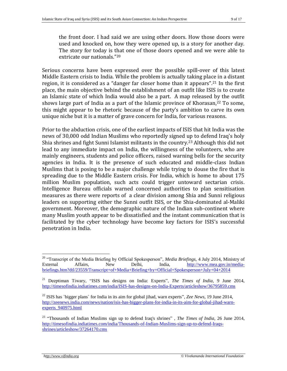the front door. I had said we are using other doors. How those doors were used and knocked on, how they were opened up, is a story for another day. The story for today is that one of those doors opened and we were able to extricate our nationals."<sup>20</sup>

Serious concerns have been expressed over the possible spill-over of this latest Middle Eastern crisis to India. While the problem is actually taking place in a distant region, it is considered as a "danger far closer home than it appears".<sup>21</sup> In the first place, the main objective behind the establishment of an outfit like ISIS is to create an Islamic state of which India would also be a part. A map released by the outfit shows large part of India as a part of the Islamic province of Khorasan,<sup>22</sup> To some, this might appear to be rhetoric because of the party's ambition to carve its own unique niche but it is a matter of grave concern for India, for various reasons.

Prior to the abduction crisis, one of the earliest impacts of ISIS that hit India was the news of 30,000 odd Indian Muslims who reportedly signed up to defend Iraq's holy Shia shrines and fight Sunni Islamist militants in the country. <sup>23</sup> Although this did not lead to any immediate impact on India, the willingness of the volunteers, who are mainly engineers, students and police officers, raised warning bells for the security agencies in India. It is the presence of such educated and middle-class Indian Muslims that is posing to be a major challenge while trying to douse the fire that is spreading due to the Middle Eastern crisis. For India, which is home to about 175 million Muslim population, such acts could trigger untoward sectarian crisis. Intelligence Bureau officials warned concerned authorities to plan sensitisation measures as there were reports of a clear division among Shia and Sunni religious leaders on supporting either the Sunni outfit ISIS, or the Shia-dominated al-Maliki government. Moreover, the demographic nature of the Indian sub-continent where many Muslim youth appear to be dissatisfied and the instant communication that is facilitated by the cyber technology have become key factors for ISIS's successful penetration in India.

<sup>20</sup> "Transcript of the Media Briefing by Official Spokesperson", *Media Briefings,* 4 July 2014, Ministry of External Affairs, New Delhi, India, [http://www.mea.gov.in/media](http://www.mea.gov.in/media-briefings.htm?dtl/23559/Transcript+of+Media+Briefing+by+Official+Spokesperson+July+04+2014)[briefings.htm?dtl/23559/Transcript+of+Media+Briefing+by+Official+Spokesperson+July+04+2014](http://www.mea.gov.in/media-briefings.htm?dtl/23559/Transcript+of+Media+Briefing+by+Official+Spokesperson+July+04+2014)

<sup>21</sup> Deeptiman Tiwary, "ISIS has designs on India: Experts", *The Times of India,* 9 June 2014, <http://timesofindia.indiatimes.com/india/ISIS-has-designs-on-India-Experts/articleshow/36795859.cms>

<sup>22</sup> ISIS has `bigger plans` for India in its aim for global jihad, warn experts", *Zee News,* 19 June 2014, [http://zeenews.india.com/news/nation/isis-has-bigger-plans-for-india-in-its-aim-for-global-jihad-warn](http://zeenews.india.com/news/nation/isis-has-bigger-plans-for-india-in-its-aim-for-global-jihad-warn-experts_940975.html)experts 940975.html

<sup>23</sup> "Thousands of Indian Muslims sign up to defend Iraq's shrines" , *The Times of India,* 26 June 2014, [http://timesofindia.indiatimes.com/india/Thousands-of-Indian-Muslims-sign-up-to-defend-Iraqs](http://timesofindia.indiatimes.com/india/Thousands-of-Indian-Muslims-sign-up-to-defend-Iraqs-shrines/articleshow/37264170.cms)[shrines/articleshow/37264170.cms](http://timesofindia.indiatimes.com/india/Thousands-of-Indian-Muslims-sign-up-to-defend-Iraqs-shrines/articleshow/37264170.cms)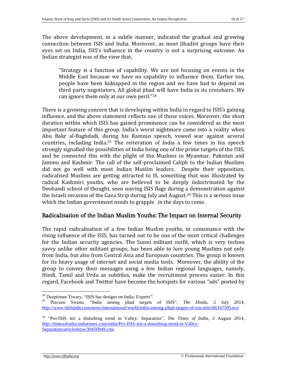The above development, in a subtle manner, indicated the gradual and growing connection between ISIS and India. Moreover, as most Jihadist groups have their eyes set on India, ISIS's influence in the country is not a surprising outcome. An Indian strategist was of the view that,

"Strategy is a function of capability. We are not focusing on events in the Middle East because we have no capability to influence them. Earlier too, people have been kidnapped in the region and we have had to depend on third party negotiators. All global jihad will have India in its crosshairs. We can ignore them only at our own peril."<sup>24</sup>

There is a growing concern that is developing within India in regard to ISIS's gaining influence, and the above statement reflects one of those voices. Moreover, the short duration within which ISIS has gained prominence can be considered as the most important feature of this group. India's worst nightmare came into a reality when Abu Bakr al-Baghdadi, during his Ramzan speech, vowed war against several countries, including India.<sup>25</sup> The reiteration of India a few times in his speech strongly signalled the possibilities of India being one of the prime targets of the ISIS, and he connected this with the plight of the Muslims in Myanmar, Pakistan and Jammu and Kashmir. The call of the self-proclaimed Caliph to the Indian Muslims did not go well with most Indian Muslim leaders. Despite their opposition, radicalised Muslims are getting attracted to IS, something that was illustrated by radical Kashmiri youths, who are believed to be deeply indoctrinated by the Deobandi school of thought, seen waving ISIS flags during a demonstration against the Israeli invasion of the Gaza Strip during July and August.<sup>26</sup> This is a serious issue which the Indian government needs to grapple in the days to come.

#### Radicalisation of the Indian Muslim Youths: The Impact on Internal Security

The rapid radicalisation of a few Indian Muslim youths, in consonance with the rising influence of the ISIS, has turned out to be one of the most critical challenges for the Indian security agencies. The Sunni militant outfit, which is very techno savvy unlike other militant groups, has been able to lure young Muslims not only from India, but also from Central Asia and European countries. The group is known for its heavy usage of internet and social media tools. Moreover, the ability of the group to convey their messages using a few Indian regional languages, namely, Hindi, Tamil and Urdu as subtitles, make the recruitment process easier. In this regard, Facebook and Twitter have become the hotspots for various "ads" posted by

<sup>24</sup> Deeptiman Tiwary, "ISIS has designs on India: Experts".

<sup>25</sup> Praveen Swami, "India among jihad targets of ISIS", *The Hindu,* 2 July 2014, <http://www.thehindu.com/news/international/world/india-among-jihad-targets-of-isis/article6167595.ece>

<sup>26</sup> "Pro-ISIS stir a disturbing trend in Valley: Separatists", *The Times of India,* 2 August 2014, [http://timesofindia.indiatimes.com/india/Pro-ISIS-stir-a-disturbing-trend-in-Valley-](http://timesofindia.indiatimes.com/india/Pro-ISIS-stir-a-disturbing-trend-in-Valley-Separatists/articleshow/39450949.cms)[Separatists/articleshow/39450949.cms](http://timesofindia.indiatimes.com/india/Pro-ISIS-stir-a-disturbing-trend-in-Valley-Separatists/articleshow/39450949.cms)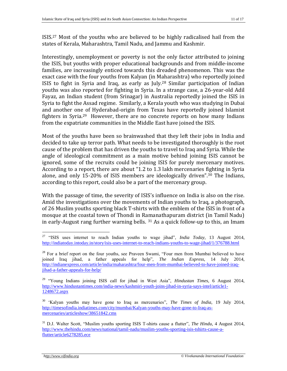ISIS.<sup>27</sup> Most of the youths who are believed to be highly radicalised hail from the states of Kerala, Maharashtra, Tamil Nadu, and Jammu and Kashmir.

Interestingly, unemployment or poverty is not the only factor attributed to joining the ISIS, but youths with proper educational backgrounds and from middle-income families, are increasingly enticed towards this dreaded phenomenon. This was the exact case with the four youths from Kalyan (in Maharashtra) who reportedly joined ISIS to fight in Syria and Iraq, as early as July.<sup>28</sup> Similar participation of Indian youths was also reported for fighting in Syria. In a strange case, a 26-year-old Adil Fayaz, an Indian student (from Srinagar) in Australia reportedly joined the ISIS in Syria to fight the Assad regime. Similarly, a Kerala youth who was studying in Dubai and another one of Hyderabad-origin from Texas have reportedly joined Islamist fighters in Syria.<sup>29</sup> However, there are no concrete reports on how many Indians from the expatriate communities in the Middle East have joined the ISIS.

Most of the youths have been so brainwashed that they left their jobs in India and decided to take up terror path. What needs to be investigated thoroughly is the root cause of the problem that has driven the youths to travel to Iraq and Syria. While the angle of ideological commitment as a main motive behind joining ISIS cannot be ignored, some of the recruits could be joining ISIS for purely mercenary motives. According to a report, there are about "1.2 to 1.3 lakh mercenaries fighting in Syria alone, and only 15-20% of ISIS members are ideologically driven".<sup>30</sup> The Indians, according to this report, could also be a part of the mercenary group.

With the passage of time, the severity of ISIS's influence on India is also on the rise. Amid the investigations over the movements of Indian youths to Iraq, a photograph, of 26 Muslim youths sporting black T-shirts with the emblem of the ISIS in front of a mosque at the coastal town of Thondi in Ramanathapuram district (in Tamil Nadu) in early-August rang further warning bells. <sup>31</sup> As a quick follow-up to this, an Imam

<sup>27</sup> "ISIS uses internet to reach Indian youths to wage jihad", *India Today,* 13 August 2014, <http://indiatoday.intoday.in/story/isis-uses-internet-to-reach-indians-youths-to-wage-jihad/1/376788.html>

 $28$  For a brief report on the four youths, see Praveen Swami, "Four men from Mumbai believed to have joined Iraq jihad, a father appeals for help", *The Indian Express,* 14 July 2014, [http://indianexpress.com/article/india/maharashtra/four-men-from-mumbai-believed-to-have-joined-iraq](http://indianexpress.com/article/india/maharashtra/four-men-from-mumbai-believed-to-have-joined-iraq-jihad-a-father-appeals-for-help/)[jihad-a-father-appeals-for-help/](http://indianexpress.com/article/india/maharashtra/four-men-from-mumbai-believed-to-have-joined-iraq-jihad-a-father-appeals-for-help/)

<sup>29</sup> "Young Indians joining ISIS call for jihad in West Asia", *Hindustan Times,* 6 August 2014, [http://www.hindustantimes.com/india-news/kashmiri-youth-joins-jihad-in-syria-says-intel/article1-](http://www.hindustantimes.com/india-news/kashmiri-youth-joins-jihad-in-syria-says-intel/article1-1248672.aspx) [1248672.aspx](http://www.hindustantimes.com/india-news/kashmiri-youth-joins-jihad-in-syria-says-intel/article1-1248672.aspx)

<sup>30</sup> 'Kalyan youths may have gone to Iraq as mercenaries", *The Times of India,* 19 July 2014, [http://timesofindia.indiatimes.com/city/mumbai/Kalyan-youths-may-have-gone-to-Iraq-as](http://timesofindia.indiatimes.com/city/mumbai/Kalyan-youths-may-have-gone-to-Iraq-as-mercenaries/articleshow/38651842.cms)[mercenaries/articleshow/38651842.cms](http://timesofindia.indiatimes.com/city/mumbai/Kalyan-youths-may-have-gone-to-Iraq-as-mercenaries/articleshow/38651842.cms)

<sup>31</sup> D.J. Walter Scott, "Muslim youths sporting ISIS T-shirts cause a flutter", *The Hindu,* 4 August 2014, [http://www.thehindu.com/news/national/tamil-nadu/muslim-youths-sporting-isis-tshirts-cause-a](http://www.thehindu.com/news/national/tamil-nadu/muslim-youths-sporting-isis-tshirts-cause-a-flutter/article6278285.ece)[flutter/article6278285.ece](http://www.thehindu.com/news/national/tamil-nadu/muslim-youths-sporting-isis-tshirts-cause-a-flutter/article6278285.ece)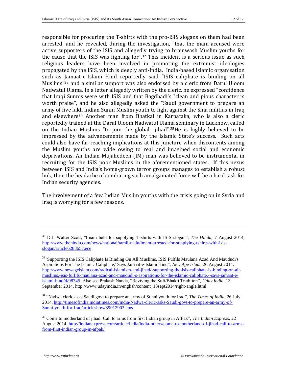responsible for procuring the T-shirts with the pro-ISIS slogans on them had been arrested, and he revealed, during the investigation, "that the main accused were active supporters of the ISIS and allegedly trying to brainwash Muslim youths for the cause that the ISIS was fighting for".<sup>32</sup> This incident is a serious issue as such religious leaders have been involved in promoting the extremist ideologies propagated by the ISIS, which is deeply anti-India. India-based Islamic organisation such as Jamaat-e-Islami Hind reportedly said "ISIS caliphate is binding on all Muslims" <sup>33</sup> and a similar support was also endorsed by a cleric from Darul Uloom Nadwatul Ulama. In a letter allegedly written by the cleric, he expressed "confidence that Iraqi Sunnis were with ISIS and that Bagdhadi's "clean and pious character is worth praise", and he also allegedly asked the "Saudi government to prepare an army of five lakh Indian Sunni Muslim youth to fight against the Shia militias in Iraq and elsewhere<sup>34</sup> Another man from Bhatkal in Karnataka, who is also a cleric reportedly trained at the Darul Uloom Nadwatul Ulama seminary in Lucknow, called on the Indian Muslims "to join the global jihad".35He is highly believed to be impressed by the advancements made by the Islamic State's success. Such acts could also have far-reaching implications at this juncture when discontents among the Muslim youths are wide owing to real and imagined social and economic deprivations. An Indian Mujahedeen (IM) man was believed to be instrumental in recruiting for the ISIS poor Muslims in the aforementioned states. If this nexus between ISIS and India's home-grown terror groups manages to establish a robust link, then the headache of combating such amalgamated force will be a hard task for Indian security agencies.

The involvement of a few Indian Muslim youths with the crisis going on in Syria and Iraq is worrying for a few reasons.

<sup>34</sup> "Nadwa cleric asks Saudi govt to prepare an army of Sunni youth for Iraq", *The Times of India,* 26 July 2014, [http://timesofindia.indiatimes.com/india/Nadwa-cleric-asks-Saudi-govt-to-prepare-an-army-of-](http://timesofindia.indiatimes.com/india/Nadwa-cleric-asks-Saudi-govt-to-prepare-an-army-of-Sunni-youth-for-Iraq/articleshow/39012903.cms)[Sunni-youth-for-Iraq/articleshow/39012903.cms](http://timesofindia.indiatimes.com/india/Nadwa-cleric-asks-Saudi-govt-to-prepare-an-army-of-Sunni-youth-for-Iraq/articleshow/39012903.cms)

<sup>35</sup> Come to motherland of jihad: Call to arms from first Indian group in AfPak", *The Indian Express,* 22 August 2014, [http://indianexpress.com/article/india/india-others/come-to-motherland-of-jihad-call-to-arms](http://indianexpress.com/article/india/india-others/come-to-motherland-of-jihad-call-to-arms-from-first-indian-group-in-afpak/)[from-first-indian-group-in-afpak/](http://indianexpress.com/article/india/india-others/come-to-motherland-of-jihad-call-to-arms-from-first-indian-group-in-afpak/)

<sup>32</sup> D.J. Walter Scott, "Imam held for supplying T-shirts with ISIS slogan", *The Hindu,* 7 August 2014, [http://www.thehindu.com/news/national/tamil-nadu/imam-arrested-for-supplying-tshirts-with-isis](http://www.thehindu.com/news/national/tamil-nadu/imam-arrested-for-supplying-tshirts-with-isis-slogan/article6288657.ece)[slogan/article6288657.ece](http://www.thehindu.com/news/national/tamil-nadu/imam-arrested-for-supplying-tshirts-with-isis-slogan/article6288657.ece)

<sup>&</sup>lt;sup>33</sup> 'Supporting the ISIS Caliphate Is Binding On All Muslims, ISIS Fulfils Maulana Azad And Maududi's Aspirations For The Islamic Caliphate,' Says Jamaat-e-Islami Hind", *New Age Islam,* 26 August 2014, [http://www.newageislam.com/radical-islamism-and-jihad/-supporting-the-isis-caliphate-is-binding-on-all](http://www.newageislam.com/radical-islamism-and-jihad/-supporting-the-isis-caliphate-is-binding-on-all-muslims,-isis-fulfils-maulana-azad-and-maududi-s-aspirations-for-the-islamic-caliphate,--says-jamaat-e-islami-hind/d/98745)[muslims,-isis-fulfils-maulana-azad-and-maududi-s-aspirations-for-the-islamic-caliphate,--says-jamaat-e](http://www.newageislam.com/radical-islamism-and-jihad/-supporting-the-isis-caliphate-is-binding-on-all-muslims,-isis-fulfils-maulana-azad-and-maududi-s-aspirations-for-the-islamic-caliphate,--says-jamaat-e-islami-hind/d/98745)[islami-hind/d/98745.](http://www.newageislam.com/radical-islamism-and-jihad/-supporting-the-isis-caliphate-is-binding-on-all-muslims,-isis-fulfils-maulana-azad-and-maududi-s-aspirations-for-the-islamic-caliphate,--says-jamaat-e-islami-hind/d/98745) Also see Prakash Nanda, "Reviving the Sufi/Bhakti Tradition", *Uday India,* 13 September 2014, http://www.udayindia.in/english/content\_13sept2014/right-angle.html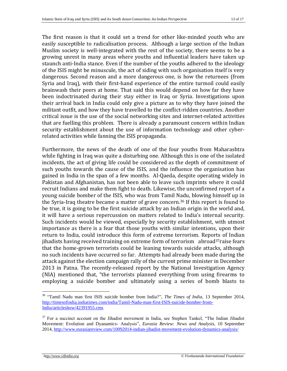The first reason is that it could set a trend for other like-minded youth who are easily susceptible to radicalisation process. Although a large section of the Indian Muslim society is well-integrated with the rest of the society, there seems to be a growing unrest in many areas where youths and influential leaders have taken up staunch anti-India stance. Even if the number of the youths adhered to the ideology of the ISIS might be minuscule, the act of siding with such organisation itself is very dangerous. Second reason and a more dangerous one, is how the returnees (from Syria and Iraq), with their first-hand experience of the entire turmoil could easily brainwash their peers at home. That said this would depend on how far they have been indoctrinated during their stay either in Iraq or Syria. Investigations upon their arrival back in India could only give a picture as to why they have joined the militant outfit, and how they have travelled to the conflict-ridden countries. Another critical issue is the use of the social networking sites and internet-related activities that are fuelling this problem. There is already a paramount concern within Indian security establishment about the use of information technology and other cyberrelated activities while fanning the ISIS propaganda.

Furthermore, the news of the death of one of the four youths from Maharashtra while fighting in Iraq was quite a disturbing one. Although this is one of the isolated incidents, the act of giving life could be considered as the depth of commitment of such youths towards the cause of the ISIS, and the influence the organisation has gained in India in the span of a few months. Al-Qaeda, despite operating widely in Pakistan and Afghanistan, has not been able to leave such imprints where it could recruit Indians and make them fight to death. Likewise, the unconfirmed report of a young suicide bomber of the ISIS, who was from Tamil Nadu, blowing himself up in the Syria-Iraq theatre became a matter of grave concern.<sup>36</sup> If this report is found to be true, it is going to be the first suicide attack by an Indian origin in the world and, it will have a serious repercussion on matters related to India's internal security. Such incidents would be viewed, especially by security establishment, with utmost importance as there is a fear that those youths with similar intentions, upon their return to India, could introduce this form of extreme terrorism. Reports of Indian jihadists having received training on extreme form of terrorism abroad<sup>37</sup>raise fears that the home-grown terrorists could be leaning towards suicide attacks, although no such incidents have occurred so far. Attempts had already been made during the attack against the election campaign rally of the current prime minister in December 2013 in Patna. The recently-released report by the National Investigation Agency (NIA) mentioned that, "the terrorists planned everything from using firearms to employing a suicide bomber and ultimately using a series of bomb blasts to

<sup>36</sup> "Tamil Nadu man first ISIS suicide bomber from India?", *The Times of India,* 13 September 2014, [http://timesofindia.indiatimes.com/india/Tamil-Nadu-man-first-ISIS-suicide-bomber-from-](http://timesofindia.indiatimes.com/india/Tamil-Nadu-man-first-ISIS-suicide-bomber-from-India/articleshow/42391955.cms)[India/articleshow/42391955.cms](http://timesofindia.indiatimes.com/india/Tamil-Nadu-man-first-ISIS-suicide-bomber-from-India/articleshow/42391955.cms)

 $37$  For a succinct account on the Jihadist movement in India, see Stephen Tankel, "The Indian Jihadist Movement: Evolution and Dyanamics- Analysis", *Eurasia Review: News and Analysis,* 10 September 2014,<http://www.eurasiareview.com/10092014-indian-jihadist-movement-evolution-dynamics-analysis/>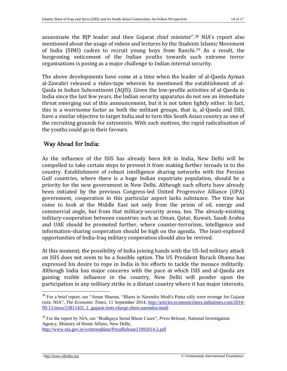assassinate the BJP leader and then Gujarat chief minister".<sup>38</sup> NIA's report also mentioned about the usage of videos and lectures by the Students Islamic Movement of India (SIMI) cadres to recruit young boys from Ranchi.<sup>39</sup> As a result, the burgeoning enticement of the Indian youths towards such extreme terror organisations is posing as a major challenge to Indian internal security.

The above developments have come at a time when the leader of al-Qaeda Ayman al-Zawahri released a video-tape wherein he mentioned the establishment of al-Qaida in Indian Subcontinent (AQIS). Given the low-profile activities of al-Qaeda in India since the last few years, the Indian security apparatus do not see an immediate threat emerging out of this announcement, but it is not taken lightly either. In fact, this is a worrisome factor as both the militant groups, that is, al-Qaeda and ISIS, have a similar objective to target India and to turn this South Asian country as one of the recruiting grounds for extremists. With such motives, the rapid radicalisation of the youths could go in their favours.

## Way Ahead for India:

As the influence of the ISIS has already been felt in India, New Delhi will be compelled to take certain steps to prevent it from making further inroads in to the country. Establishment of robust intelligence sharing networks with the Persian Gulf countries, where there is a huge Indian expatriate population, should be a priority for the new government in New Delhi. Although such efforts have already been initiated by the previous Congress-led United Progressive Alliance (UPA) government, cooperation in this particular aspect lacks substance. The time has come to look at the Middle East not only from the prism of oil, energy and commercial angle, but from that military-security arena, too. The already-existing military-cooperation between countries such as Oman, Qatar, Kuwait, Saudi Arabia and UAE should be promoted further, where counter-terrorism, intelligence and information-sharing cooperation should be high on the agenda. The least-explored opportunities of India-Iraq military cooperation should also be revived.

At this moment, the possibility of India joining hands with the US-led military attack on ISIS does not seem to be a feasible option. The US President Barack Obama has expressed his desire to rope in India in his efforts to tackle the menace militarily. Although India has major concerns with the pace at which ISIS and al-Qaeda are gaining visible influence in the country, New Delhi will ponder upon the participation in any military strike in a distant country where it has major interests.

<sup>39</sup> For the report by NIA, see "Bodhgaya Serial Blasts Cases", *Press Release,* National Investigation Agency, Ministry of Home Affairs, New Delhi, <http://www.nia.gov.in/writereaddata/PressRelease11092014-2.pdf>

<sup>&</sup>lt;sup>38</sup> For a brief report, see "Aman Sharma, "Blasts in Narendra Modi's Patna rally were revenge for Gujarat riots: NIA", *The Economic Times,* 11 September 2014, [http://articles.economictimes.indiatimes.com/2014-](http://articles.economictimes.indiatimes.com/2014-09-11/news/53811431_1_gujarat-riots-charge-sheet-narendra-modi) [09-11/news/53811431\\_1\\_gujarat-riots-charge-sheet-narendra-modi](http://articles.economictimes.indiatimes.com/2014-09-11/news/53811431_1_gujarat-riots-charge-sheet-narendra-modi)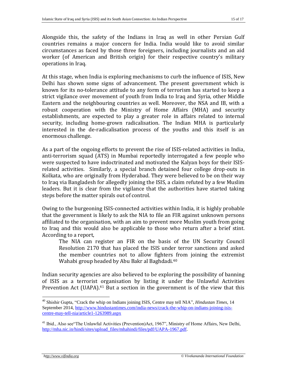Alongside this, the safety of the Indians in Iraq as well in other Persian Gulf countries remains a major concern for India. India would like to avoid similar circumstances as faced by those three foreigners, including journalists and an aid worker (of American and British origin) for their respective country's military operations in Iraq.

At this stage, when India is exploring mechanisms to curb the influence of ISIS, New Delhi has shown some signs of advancement. The present government which is known for its no-tolerance attitude to any form of terrorism has started to keep a strict vigilance over movement of youth from India to Iraq and Syria, other Middle Eastern and the neighbouring countries as well. Moreover, the NSA and IB, with a robust cooperation with the Ministry of Home Affairs (MHA) and security establishments, are expected to play a greater role in affairs related to internal security, including home-grown radicalisation. The Indian MHA is particularly interested in the de-radicalisation process of the youths and this itself is an enormous challenge.

As a part of the ongoing efforts to prevent the rise of ISIS-related activities in India, anti-terrorism squad (ATS) in Mumbai reportedly interrogated a few people who were suspected to have indoctrinated and motivated the Kalyan boys for their ISISrelated activities. Similarly, a special branch detained four college drop-outs in Kolkata, who are originally from Hyderabad. They were believed to be on their way to Iraq via Bangladesh for allegedly joining the ISIS, a claim refuted by a few Muslim leaders. But it is clear from the vigilance that the authorities have started taking steps before the matter spirals out of control.

Owing to the burgeoning ISIS-connected activities within India, it is highly probable that the government is likely to ask the NIA to file an FIR against unknown persons affiliated to the organisation, with an aim to prevent more Muslim youth from going to Iraq and this would also be applicable to those who return after a brief stint. According to a report,

The NIA can register an FIR on the basis of the UN Security Council Resolution 2170 that has placed the ISIS under terror sanctions and asked the member countries not to allow fighters from joining the extremist Wahabi group headed by Abu Bakr al Baghdadi.<sup>40</sup>

Indian security agencies are also believed to be exploring the possibility of banning of ISIS as a terrorist organisation by listing it under the Unlawful Activities Prevention Act (UAPA).<sup>41</sup> But a section in the government is of the view that this

<sup>40</sup> Shishir Gupta, "Crack the whip on Indians joining ISIS, Centre may tell NIA", *Hindustan Times,* 14 September 2014, [http://www.hindustantimes.com/india-news/crack-the-whip-on-indians-joining-isis](http://www.hindustantimes.com/india-news/crack-the-whip-on-indians-joining-isis-centre-may-tell-nia/article1-1263989.aspx)[centre-may-tell-nia/article1-1263989.aspx](http://www.hindustantimes.com/india-news/crack-the-whip-on-indians-joining-isis-centre-may-tell-nia/article1-1263989.aspx)

<sup>&</sup>lt;sup>41</sup> Ibid., Also see The Unlawful Activities (Prevention)Act, 1967", Ministry of Home Affairs, New Delhi, [http://mha.nic.in/hindi/sites/upload\\_files/mhahindi/files/pdf/UAPA-1967.pdf.](http://mha.nic.in/hindi/sites/upload_files/mhahindi/files/pdf/UAPA-1967.pdf)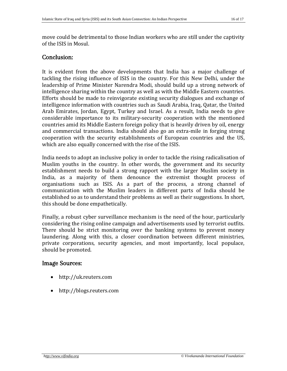move could be detrimental to those Indian workers who are still under the captivity of the ISIS in Mosul.

#### Conclusion:

It is evident from the above developments that India has a major challenge of tackling the rising influence of ISIS in the country. For this New Delhi, under the leadership of Prime Minister Narendra Modi, should build up a strong network of intelligence sharing within the country as well as with the Middle Eastern countries. Efforts should be made to reinvigorate existing security dialogues and exchange of intelligence information with countries such as Saudi Arabia, Iraq, Qatar, the United Arab Emirates, Jordan, Egypt, Turkey and Israel. As a result, India needs to give considerable importance to its military-security cooperation with the mentioned countries amid its Middle Eastern foreign policy that is heavily driven by oil, energy and commercial transactions. India should also go an extra-mile in forging strong cooperation with the security establishments of European countries and the US, which are also equally concerned with the rise of the ISIS.

India needs to adopt an inclusive policy in order to tackle the rising radicalisation of Muslim youths in the country. In other words, the government and its security establishment needs to build a strong rapport with the larger Muslim society in India, as a majority of them denounce the extremist thought process of organisations such as ISIS. As a part of the process, a strong channel of communication with the Muslim leaders in different parts of India should be established so as to understand their problems as well as their suggestions. In short, this should be done empathetically.

Finally, a robust cyber surveillance mechanism is the need of the hour, particularly considering the rising online campaign and advertisements used by terrorist outfits. There should be strict monitoring over the banking systems to prevent money laundering. Along with this, a closer coordination between different ministries, private corporations, security agencies, and most importantly, local populace, should be promoted.

#### Image Sources:

- http://uk.reuters.com
- http://blogs.reuters.com